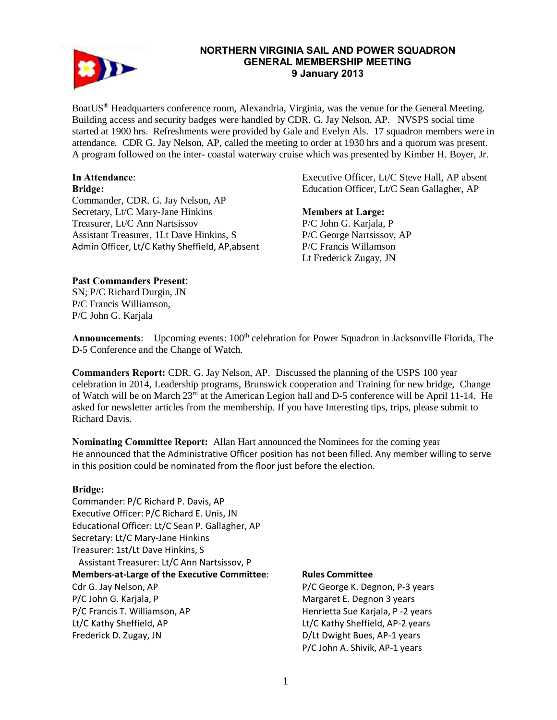

## **NORTHERN VIRGINIA SAIL AND POWER SQUADRON GENERAL MEMBERSHIP MEETING 9 January 2013**

BoatUS® Headquarters conference room, Alexandria, Virginia, was the venue for the General Meeting. Building access and security badges were handled by CDR. G. Jay Nelson, AP. NVSPS social time started at 1900 hrs. Refreshments were provided by Gale and Evelyn Als. 17 squadron members were in attendance. CDR G. Jay Nelson, AP, called the meeting to order at 1930 hrs and a quorum was present. A program followed on the inter- coastal waterway cruise which was presented by Kimber H. Boyer, Jr.

# **In Attendance**:

**Bridge:**  Commander, CDR. G. Jay Nelson, AP Secretary, Lt/C Mary-Jane Hinkins Treasurer, Lt/C Ann Nartsissov Assistant Treasurer, 1Lt Dave Hinkins, S Admin Officer, Lt/C Kathy Sheffield, AP,absent Executive Officer, Lt/C Steve Hall, AP absent Education Officer, Lt/C Sean Gallagher, AP

## **Members at Large:**

P/C John G. Karjala, P P/C George Nartsissov, AP P/C Francis Willamson Lt Frederick Zugay, JN

# **Past Commanders Present:**

SN; P/C Richard Durgin, JN P/C Francis Williamson, P/C John G. Karjala

Announcements: Upcoming events: 100<sup>th</sup> celebration for Power Squadron in Jacksonville Florida, The D-5 Conference and the Change of Watch.

**Commanders Report:** CDR. G. Jay Nelson, AP. Discussed the planning of the USPS 100 year celebration in 2014, Leadership programs, Brunswick cooperation and Training for new bridge, Change of Watch will be on March 23rd at the American Legion hall and D-5 conference will be April 11-14. He asked for newsletter articles from the membership. If you have Interesting tips, trips, please submit to Richard Davis.

**Nominating Committee Report:** Allan Hart announced the Nominees for the coming year He announced that the Administrative Officer position has not been filled. Any member willing to serve in this position could be nominated from the floor just before the election.

# **Bridge:**

Commander: P/C Richard P. Davis, AP Executive Officer: P/C Richard E. Unis, JN Educational Officer: Lt/C Sean P. Gallagher, AP Secretary: Lt/C Mary-Jane Hinkins Treasurer: 1st/Lt Dave Hinkins, S Assistant Treasurer: Lt/C Ann Nartsissov, P **Members-at-Large of the Executive Committee**: Cdr G. Jay Nelson, AP P/C John G. Karjala, P P/C Francis T. Williamson, AP Lt/C Kathy Sheffield, AP Frederick D. Zugay, JN

#### **Rules Committee**

P/C George K. Degnon, P-3 years Margaret E. Degnon 3 years Henrietta Sue Karjala, P -2 years Lt/C Kathy Sheffield, AP-2 years D/Lt Dwight Bues, AP-1 years P/C John A. Shivik, AP-1 years